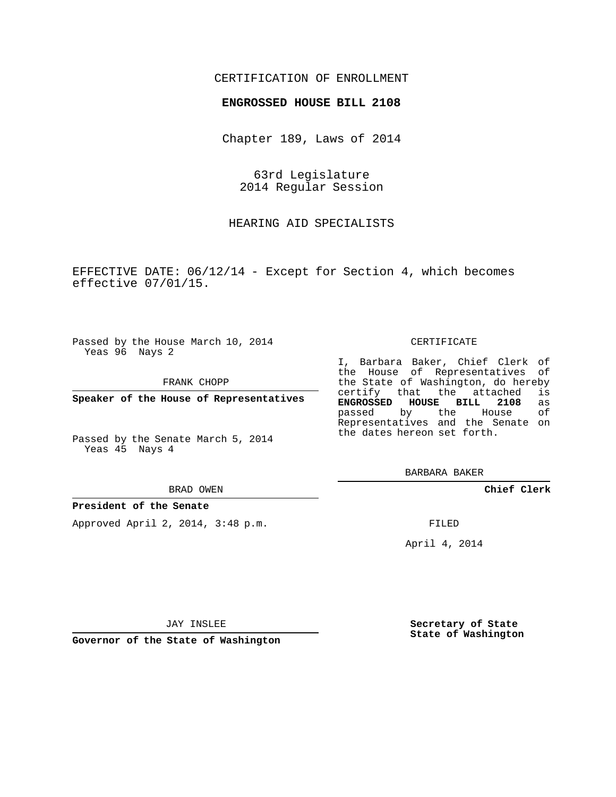## CERTIFICATION OF ENROLLMENT

## **ENGROSSED HOUSE BILL 2108**

Chapter 189, Laws of 2014

63rd Legislature 2014 Regular Session

HEARING AID SPECIALISTS

EFFECTIVE DATE: 06/12/14 - Except for Section 4, which becomes effective 07/01/15.

Passed by the House March 10, 2014 Yeas 96 Nays 2

FRANK CHOPP

**Speaker of the House of Representatives**

Passed by the Senate March 5, 2014 Yeas 45 Nays 4

#### BRAD OWEN

### **President of the Senate**

Approved April 2, 2014, 3:48 p.m.

#### CERTIFICATE

I, Barbara Baker, Chief Clerk of the House of Representatives of the State of Washington, do hereby<br>certify that the attached is that the attached **ENGROSSED HOUSE BILL 2108** as passed by the House Representatives and the Senate on the dates hereon set forth.

BARBARA BAKER

**Chief Clerk**

FILED

April 4, 2014

JAY INSLEE

**Governor of the State of Washington**

**Secretary of State State of Washington**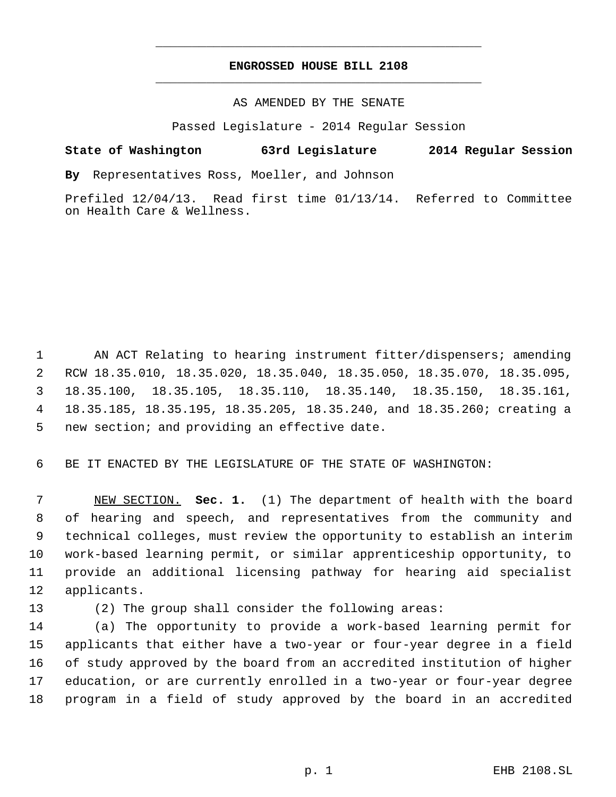## **ENGROSSED HOUSE BILL 2108** \_\_\_\_\_\_\_\_\_\_\_\_\_\_\_\_\_\_\_\_\_\_\_\_\_\_\_\_\_\_\_\_\_\_\_\_\_\_\_\_\_\_\_\_\_

\_\_\_\_\_\_\_\_\_\_\_\_\_\_\_\_\_\_\_\_\_\_\_\_\_\_\_\_\_\_\_\_\_\_\_\_\_\_\_\_\_\_\_\_\_

## AS AMENDED BY THE SENATE

Passed Legislature - 2014 Regular Session

# **State of Washington 63rd Legislature 2014 Regular Session**

**By** Representatives Ross, Moeller, and Johnson

Prefiled 12/04/13. Read first time 01/13/14. Referred to Committee on Health Care & Wellness.

 AN ACT Relating to hearing instrument fitter/dispensers; amending RCW 18.35.010, 18.35.020, 18.35.040, 18.35.050, 18.35.070, 18.35.095, 18.35.100, 18.35.105, 18.35.110, 18.35.140, 18.35.150, 18.35.161, 18.35.185, 18.35.195, 18.35.205, 18.35.240, and 18.35.260; creating a new section; and providing an effective date.

BE IT ENACTED BY THE LEGISLATURE OF THE STATE OF WASHINGTON:

 NEW SECTION. **Sec. 1.** (1) The department of health with the board of hearing and speech, and representatives from the community and technical colleges, must review the opportunity to establish an interim work-based learning permit, or similar apprenticeship opportunity, to provide an additional licensing pathway for hearing aid specialist applicants.

(2) The group shall consider the following areas:

 (a) The opportunity to provide a work-based learning permit for applicants that either have a two-year or four-year degree in a field of study approved by the board from an accredited institution of higher education, or are currently enrolled in a two-year or four-year degree program in a field of study approved by the board in an accredited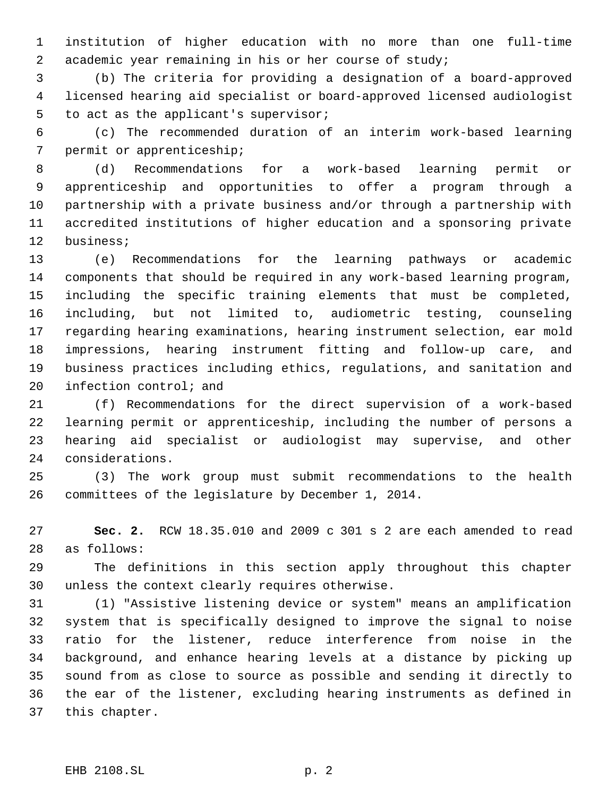institution of higher education with no more than one full-time academic year remaining in his or her course of study;

 (b) The criteria for providing a designation of a board-approved licensed hearing aid specialist or board-approved licensed audiologist to act as the applicant's supervisor;

 (c) The recommended duration of an interim work-based learning permit or apprenticeship;

 (d) Recommendations for a work-based learning permit or apprenticeship and opportunities to offer a program through a partnership with a private business and/or through a partnership with accredited institutions of higher education and a sponsoring private business;

 (e) Recommendations for the learning pathways or academic components that should be required in any work-based learning program, including the specific training elements that must be completed, including, but not limited to, audiometric testing, counseling regarding hearing examinations, hearing instrument selection, ear mold impressions, hearing instrument fitting and follow-up care, and business practices including ethics, regulations, and sanitation and infection control; and

 (f) Recommendations for the direct supervision of a work-based learning permit or apprenticeship, including the number of persons a hearing aid specialist or audiologist may supervise, and other considerations.

 (3) The work group must submit recommendations to the health committees of the legislature by December 1, 2014.

 **Sec. 2.** RCW 18.35.010 and 2009 c 301 s 2 are each amended to read as follows:

 The definitions in this section apply throughout this chapter unless the context clearly requires otherwise.

 (1) "Assistive listening device or system" means an amplification system that is specifically designed to improve the signal to noise ratio for the listener, reduce interference from noise in the background, and enhance hearing levels at a distance by picking up sound from as close to source as possible and sending it directly to the ear of the listener, excluding hearing instruments as defined in this chapter.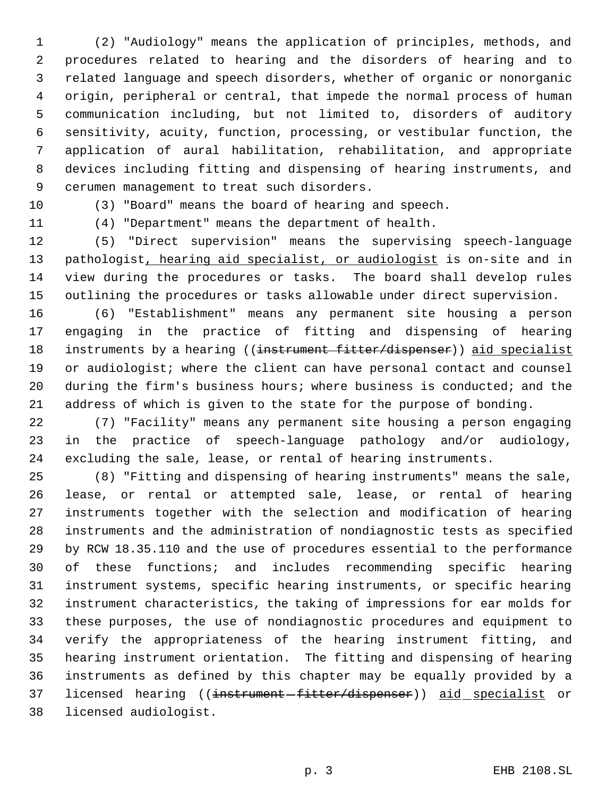(2) "Audiology" means the application of principles, methods, and procedures related to hearing and the disorders of hearing and to related language and speech disorders, whether of organic or nonorganic origin, peripheral or central, that impede the normal process of human communication including, but not limited to, disorders of auditory sensitivity, acuity, function, processing, or vestibular function, the application of aural habilitation, rehabilitation, and appropriate devices including fitting and dispensing of hearing instruments, and cerumen management to treat such disorders.

(3) "Board" means the board of hearing and speech.

(4) "Department" means the department of health.

 (5) "Direct supervision" means the supervising speech-language 13 pathologist, hearing aid specialist, or audiologist is on-site and in view during the procedures or tasks. The board shall develop rules outlining the procedures or tasks allowable under direct supervision.

 (6) "Establishment" means any permanent site housing a person engaging in the practice of fitting and dispensing of hearing 18 instruments by a hearing ((instrument fitter/dispenser)) aid specialist 19 or audiologist; where the client can have personal contact and counsel during the firm's business hours; where business is conducted; and the address of which is given to the state for the purpose of bonding.

 (7) "Facility" means any permanent site housing a person engaging in the practice of speech-language pathology and/or audiology, excluding the sale, lease, or rental of hearing instruments.

 (8) "Fitting and dispensing of hearing instruments" means the sale, lease, or rental or attempted sale, lease, or rental of hearing instruments together with the selection and modification of hearing instruments and the administration of nondiagnostic tests as specified by RCW 18.35.110 and the use of procedures essential to the performance of these functions; and includes recommending specific hearing instrument systems, specific hearing instruments, or specific hearing instrument characteristics, the taking of impressions for ear molds for these purposes, the use of nondiagnostic procedures and equipment to verify the appropriateness of the hearing instrument fitting, and hearing instrument orientation. The fitting and dispensing of hearing instruments as defined by this chapter may be equally provided by a 37 licensed hearing ((instrument-fitter/dispenser)) aid specialist or licensed audiologist.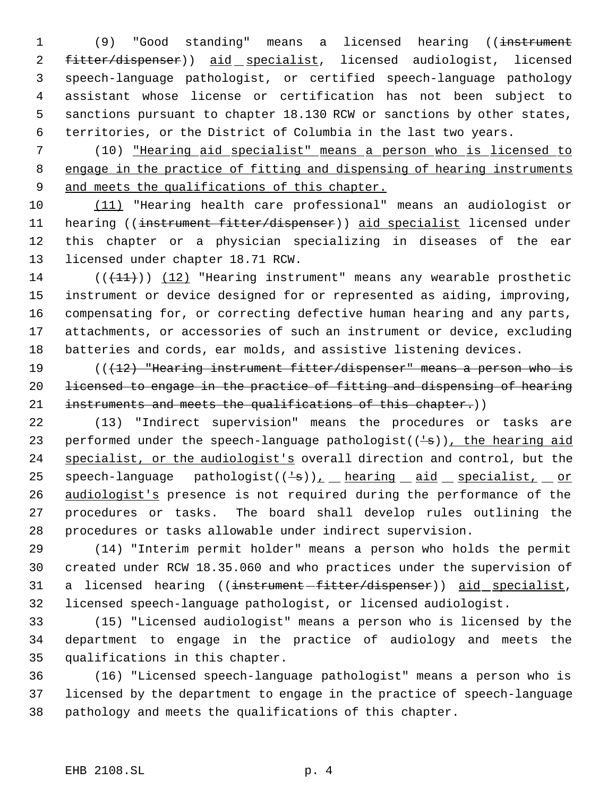1 (9) "Good standing" means a licensed hearing ((instrument 2 fitter/dispenser)) aid specialist, licensed audiologist, licensed speech-language pathologist, or certified speech-language pathology assistant whose license or certification has not been subject to sanctions pursuant to chapter 18.130 RCW or sanctions by other states, territories, or the District of Columbia in the last two years.

 (10) "Hearing aid specialist" means a person who is licensed to 8 engage in the practice of fitting and dispensing of hearing instruments 9 and meets the qualifications of this chapter.

 (11) "Hearing health care professional" means an audiologist or 11 hearing ((instrument fitter/dispenser)) aid specialist licensed under this chapter or a physician specializing in diseases of the ear licensed under chapter 18.71 RCW.

14 ( $(\frac{11}{1})$ ) (12) "Hearing instrument" means any wearable prosthetic instrument or device designed for or represented as aiding, improving, compensating for, or correcting defective human hearing and any parts, attachments, or accessories of such an instrument or device, excluding batteries and cords, ear molds, and assistive listening devices.

 (((12) "Hearing instrument fitter/dispenser" means a person who is licensed to engage in the practice of fitting and dispensing of hearing 21 instruments and meets the qualifications of this chapter.))

 (13) "Indirect supervision" means the procedures or tasks are 23 performed under the speech-language pathologist( $(\frac{1}{s})$ ), the hearing aid 24 specialist, or the audiologist's overall direction and control, but the 25 speech-language pathologist( $(\frac{1}{5})$ ), hearing aid specialist, or audiologist's presence is not required during the performance of the procedures or tasks. The board shall develop rules outlining the procedures or tasks allowable under indirect supervision.

 (14) "Interim permit holder" means a person who holds the permit created under RCW 18.35.060 and who practices under the supervision of 31 a licensed hearing ((<del>instrument fitter/dispenser</del>)) aid specialist, licensed speech-language pathologist, or licensed audiologist.

 (15) "Licensed audiologist" means a person who is licensed by the department to engage in the practice of audiology and meets the qualifications in this chapter.

 (16) "Licensed speech-language pathologist" means a person who is licensed by the department to engage in the practice of speech-language pathology and meets the qualifications of this chapter.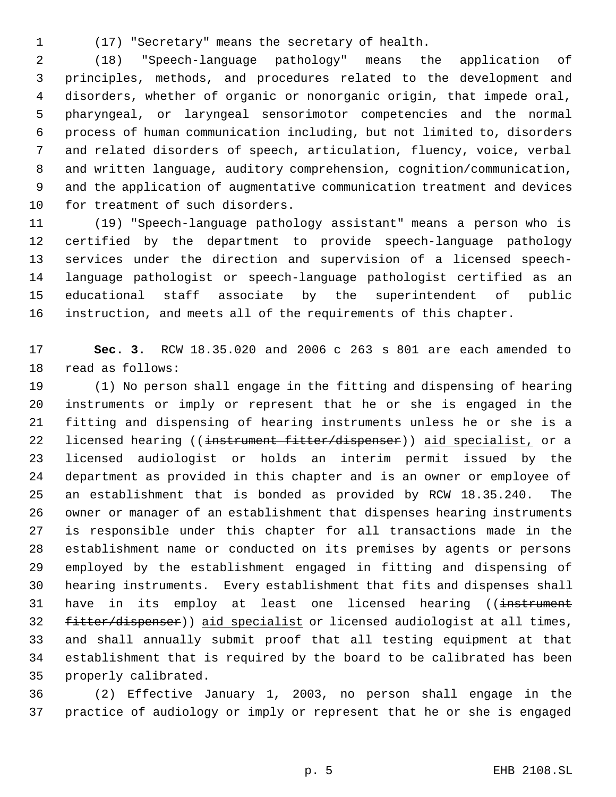(17) "Secretary" means the secretary of health.

 (18) "Speech-language pathology" means the application of principles, methods, and procedures related to the development and disorders, whether of organic or nonorganic origin, that impede oral, pharyngeal, or laryngeal sensorimotor competencies and the normal process of human communication including, but not limited to, disorders and related disorders of speech, articulation, fluency, voice, verbal and written language, auditory comprehension, cognition/communication, and the application of augmentative communication treatment and devices for treatment of such disorders.

 (19) "Speech-language pathology assistant" means a person who is certified by the department to provide speech-language pathology services under the direction and supervision of a licensed speech- language pathologist or speech-language pathologist certified as an educational staff associate by the superintendent of public instruction, and meets all of the requirements of this chapter.

 **Sec. 3.** RCW 18.35.020 and 2006 c 263 s 801 are each amended to read as follows:

 (1) No person shall engage in the fitting and dispensing of hearing instruments or imply or represent that he or she is engaged in the fitting and dispensing of hearing instruments unless he or she is a 22 licensed hearing ((instrument fitter/dispenser)) aid specialist, or a licensed audiologist or holds an interim permit issued by the department as provided in this chapter and is an owner or employee of an establishment that is bonded as provided by RCW 18.35.240. The owner or manager of an establishment that dispenses hearing instruments is responsible under this chapter for all transactions made in the establishment name or conducted on its premises by agents or persons employed by the establishment engaged in fitting and dispensing of hearing instruments. Every establishment that fits and dispenses shall 31 have in its employ at least one licensed hearing ((instrument 32 fitter/dispenser)) aid specialist or licensed audiologist at all times, and shall annually submit proof that all testing equipment at that establishment that is required by the board to be calibrated has been properly calibrated.

 (2) Effective January 1, 2003, no person shall engage in the practice of audiology or imply or represent that he or she is engaged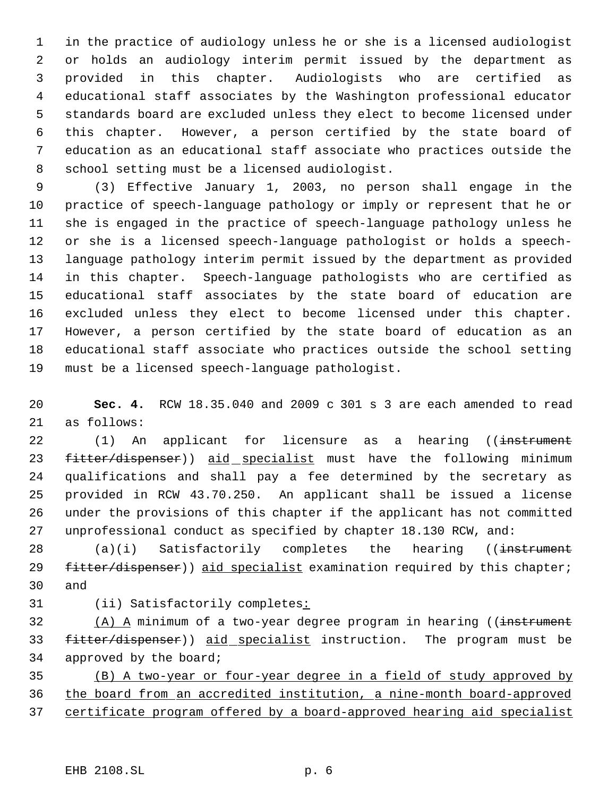in the practice of audiology unless he or she is a licensed audiologist or holds an audiology interim permit issued by the department as provided in this chapter. Audiologists who are certified as educational staff associates by the Washington professional educator standards board are excluded unless they elect to become licensed under this chapter. However, a person certified by the state board of education as an educational staff associate who practices outside the school setting must be a licensed audiologist.

 (3) Effective January 1, 2003, no person shall engage in the practice of speech-language pathology or imply or represent that he or she is engaged in the practice of speech-language pathology unless he or she is a licensed speech-language pathologist or holds a speech- language pathology interim permit issued by the department as provided in this chapter. Speech-language pathologists who are certified as educational staff associates by the state board of education are excluded unless they elect to become licensed under this chapter. However, a person certified by the state board of education as an educational staff associate who practices outside the school setting must be a licensed speech-language pathologist.

 **Sec. 4.** RCW 18.35.040 and 2009 c 301 s 3 are each amended to read as follows:

22 (1) An applicant for licensure as a hearing ((instrument 23 fitter/dispenser)) aid specialist must have the following minimum qualifications and shall pay a fee determined by the secretary as provided in RCW 43.70.250. An applicant shall be issued a license under the provisions of this chapter if the applicant has not committed unprofessional conduct as specified by chapter 18.130 RCW, and:

28 (a)(i) Satisfactorily completes the hearing ((instrument 29 fitter/dispenser)) aid specialist examination required by this chapter; and

(ii) Satisfactorily completes:

 (A) A minimum of a two-year degree program in hearing ((instrument 33 fitter/dispenser)) aid specialist instruction. The program must be approved by the board;

 (B) A two-year or four-year degree in a field of study approved by the board from an accredited institution, a nine-month board-approved certificate program offered by a board-approved hearing aid specialist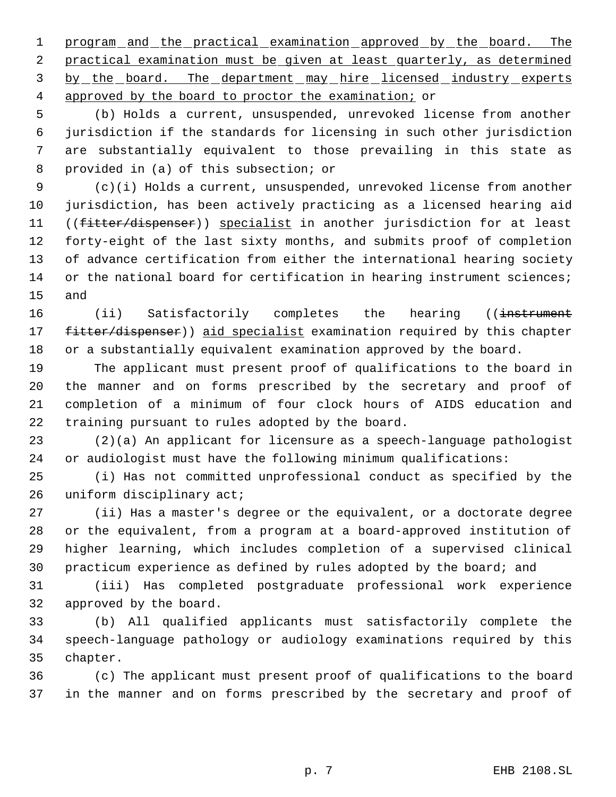1 program and the practical examination approved by the board. The practical examination must be given at least quarterly, as determined 3 by the board. The department may hire licensed industry experts approved by the board to proctor the examination; or

 (b) Holds a current, unsuspended, unrevoked license from another jurisdiction if the standards for licensing in such other jurisdiction are substantially equivalent to those prevailing in this state as provided in (a) of this subsection; or

 (c)(i) Holds a current, unsuspended, unrevoked license from another jurisdiction, has been actively practicing as a licensed hearing aid 11 ((fitter/dispenser)) specialist in another jurisdiction for at least forty-eight of the last sixty months, and submits proof of completion of advance certification from either the international hearing society 14 or the national board for certification in hearing instrument sciences; and

16 (ii) Satisfactorily completes the hearing ((<del>instrument</del> 17 fitter/dispenser)) aid specialist examination required by this chapter or a substantially equivalent examination approved by the board.

 The applicant must present proof of qualifications to the board in the manner and on forms prescribed by the secretary and proof of completion of a minimum of four clock hours of AIDS education and training pursuant to rules adopted by the board.

 (2)(a) An applicant for licensure as a speech-language pathologist or audiologist must have the following minimum qualifications:

 (i) Has not committed unprofessional conduct as specified by the 26 uniform disciplinary act;

 (ii) Has a master's degree or the equivalent, or a doctorate degree or the equivalent, from a program at a board-approved institution of higher learning, which includes completion of a supervised clinical practicum experience as defined by rules adopted by the board; and

 (iii) Has completed postgraduate professional work experience approved by the board.

 (b) All qualified applicants must satisfactorily complete the speech-language pathology or audiology examinations required by this chapter.

 (c) The applicant must present proof of qualifications to the board in the manner and on forms prescribed by the secretary and proof of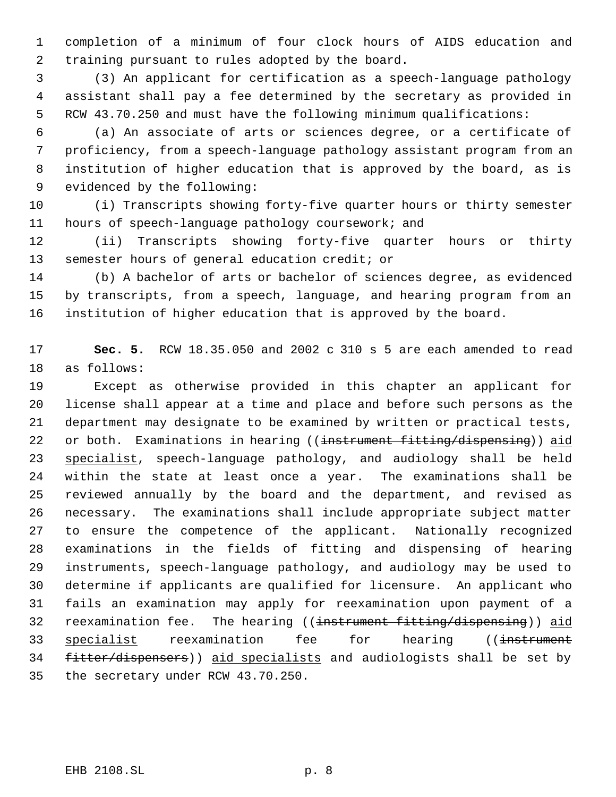completion of a minimum of four clock hours of AIDS education and training pursuant to rules adopted by the board.

 (3) An applicant for certification as a speech-language pathology assistant shall pay a fee determined by the secretary as provided in RCW 43.70.250 and must have the following minimum qualifications:

 (a) An associate of arts or sciences degree, or a certificate of proficiency, from a speech-language pathology assistant program from an institution of higher education that is approved by the board, as is evidenced by the following:

 (i) Transcripts showing forty-five quarter hours or thirty semester hours of speech-language pathology coursework; and

 (ii) Transcripts showing forty-five quarter hours or thirty semester hours of general education credit; or

 (b) A bachelor of arts or bachelor of sciences degree, as evidenced by transcripts, from a speech, language, and hearing program from an institution of higher education that is approved by the board.

 **Sec. 5.** RCW 18.35.050 and 2002 c 310 s 5 are each amended to read as follows:

 Except as otherwise provided in this chapter an applicant for license shall appear at a time and place and before such persons as the department may designate to be examined by written or practical tests, 22 or both. Examinations in hearing ((instrument fitting/dispensing)) aid specialist, speech-language pathology, and audiology shall be held within the state at least once a year. The examinations shall be reviewed annually by the board and the department, and revised as necessary. The examinations shall include appropriate subject matter to ensure the competence of the applicant. Nationally recognized examinations in the fields of fitting and dispensing of hearing instruments, speech-language pathology, and audiology may be used to determine if applicants are qualified for licensure. An applicant who fails an examination may apply for reexamination upon payment of a 32 reexamination fee. The hearing ((instrument fitting/dispensing)) aid 33 specialist reexamination fee for hearing ((instrument fitter/dispensers)) aid specialists and audiologists shall be set by the secretary under RCW 43.70.250.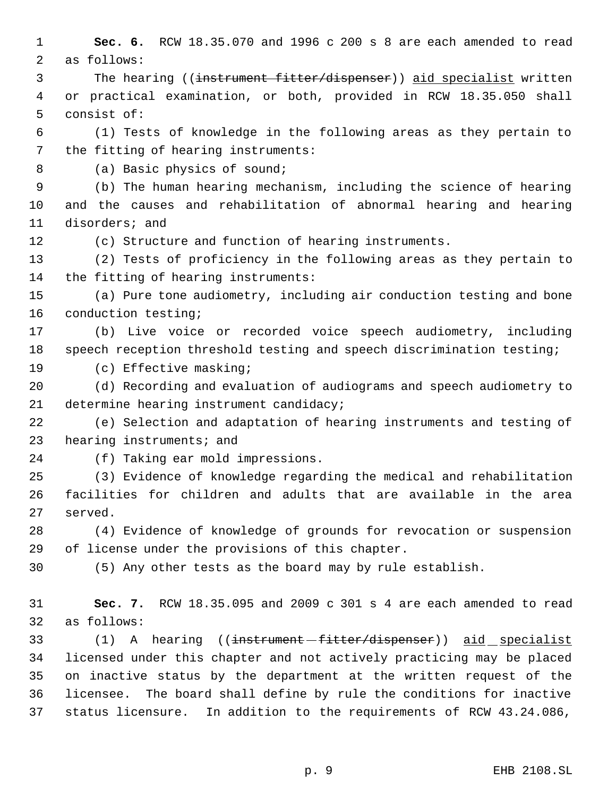**Sec. 6.** RCW 18.35.070 and 1996 c 200 s 8 are each amended to read as follows: 3 The hearing ((instrument fitter/dispenser)) aid specialist written or practical examination, or both, provided in RCW 18.35.050 shall consist of: (1) Tests of knowledge in the following areas as they pertain to the fitting of hearing instruments: 8 (a) Basic physics of sound; (b) The human hearing mechanism, including the science of hearing and the causes and rehabilitation of abnormal hearing and hearing disorders; and (c) Structure and function of hearing instruments. (2) Tests of proficiency in the following areas as they pertain to the fitting of hearing instruments: (a) Pure tone audiometry, including air conduction testing and bone conduction testing; (b) Live voice or recorded voice speech audiometry, including speech reception threshold testing and speech discrimination testing; (c) Effective masking; (d) Recording and evaluation of audiograms and speech audiometry to determine hearing instrument candidacy; (e) Selection and adaptation of hearing instruments and testing of hearing instruments; and (f) Taking ear mold impressions. (3) Evidence of knowledge regarding the medical and rehabilitation facilities for children and adults that are available in the area served. (4) Evidence of knowledge of grounds for revocation or suspension of license under the provisions of this chapter. (5) Any other tests as the board may by rule establish. **Sec. 7.** RCW 18.35.095 and 2009 c 301 s 4 are each amended to read as follows: 33 (1) A hearing ((<del>instrument fitter/dispenser</del>)) aid specialist licensed under this chapter and not actively practicing may be placed on inactive status by the department at the written request of the licensee. The board shall define by rule the conditions for inactive status licensure. In addition to the requirements of RCW 43.24.086,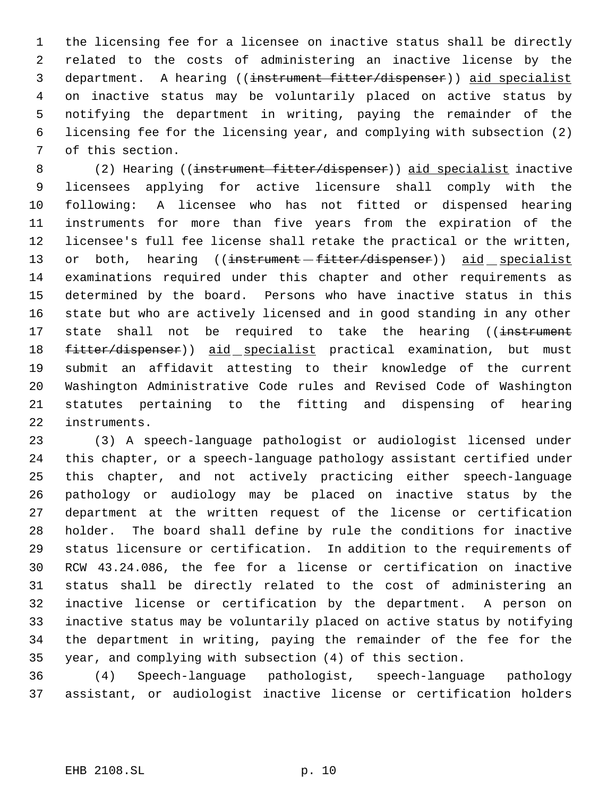the licensing fee for a licensee on inactive status shall be directly related to the costs of administering an inactive license by the department. A hearing ((instrument fitter/dispenser)) aid specialist on inactive status may be voluntarily placed on active status by notifying the department in writing, paying the remainder of the licensing fee for the licensing year, and complying with subsection (2) of this section.

8 (2) Hearing ((instrument fitter/dispenser)) aid specialist inactive licensees applying for active licensure shall comply with the following: A licensee who has not fitted or dispensed hearing instruments for more than five years from the expiration of the licensee's full fee license shall retake the practical or the written, 13 or both, hearing ((instrument -fitter/dispenser)) aid specialist examinations required under this chapter and other requirements as determined by the board. Persons who have inactive status in this state but who are actively licensed and in good standing in any other 17 state shall not be required to take the hearing ((instrument 18 fitter/dispenser)) aid specialist practical examination, but must submit an affidavit attesting to their knowledge of the current Washington Administrative Code rules and Revised Code of Washington statutes pertaining to the fitting and dispensing of hearing instruments.

 (3) A speech-language pathologist or audiologist licensed under this chapter, or a speech-language pathology assistant certified under this chapter, and not actively practicing either speech-language pathology or audiology may be placed on inactive status by the department at the written request of the license or certification holder. The board shall define by rule the conditions for inactive status licensure or certification. In addition to the requirements of RCW 43.24.086, the fee for a license or certification on inactive status shall be directly related to the cost of administering an inactive license or certification by the department. A person on inactive status may be voluntarily placed on active status by notifying the department in writing, paying the remainder of the fee for the year, and complying with subsection (4) of this section.

 (4) Speech-language pathologist, speech-language pathology assistant, or audiologist inactive license or certification holders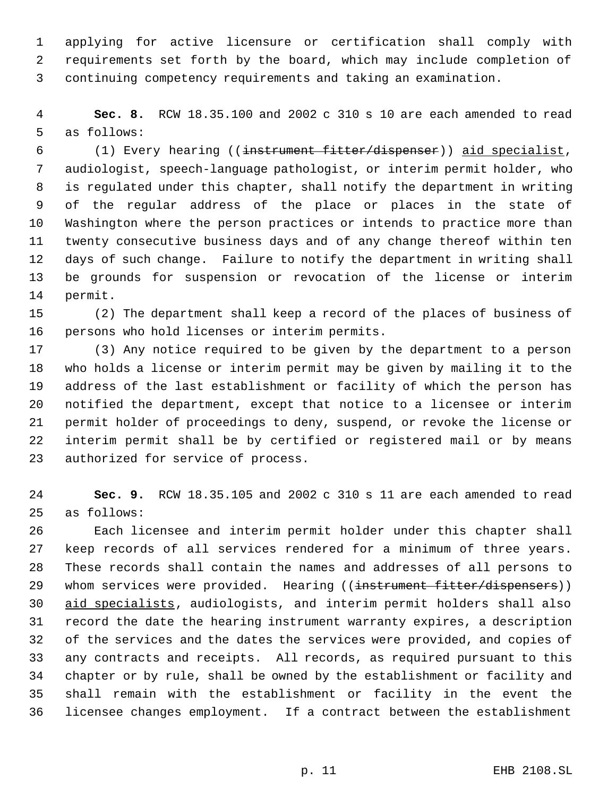applying for active licensure or certification shall comply with requirements set forth by the board, which may include completion of continuing competency requirements and taking an examination.

 **Sec. 8.** RCW 18.35.100 and 2002 c 310 s 10 are each amended to read as follows:

 (1) Every hearing ((instrument fitter/dispenser)) aid specialist, audiologist, speech-language pathologist, or interim permit holder, who is regulated under this chapter, shall notify the department in writing of the regular address of the place or places in the state of Washington where the person practices or intends to practice more than twenty consecutive business days and of any change thereof within ten days of such change. Failure to notify the department in writing shall be grounds for suspension or revocation of the license or interim permit.

 (2) The department shall keep a record of the places of business of persons who hold licenses or interim permits.

 (3) Any notice required to be given by the department to a person who holds a license or interim permit may be given by mailing it to the address of the last establishment or facility of which the person has notified the department, except that notice to a licensee or interim permit holder of proceedings to deny, suspend, or revoke the license or interim permit shall be by certified or registered mail or by means authorized for service of process.

 **Sec. 9.** RCW 18.35.105 and 2002 c 310 s 11 are each amended to read as follows:

 Each licensee and interim permit holder under this chapter shall keep records of all services rendered for a minimum of three years. These records shall contain the names and addresses of all persons to 29 whom services were provided. Hearing ((instrument fitter/dispensers)) aid specialists, audiologists, and interim permit holders shall also record the date the hearing instrument warranty expires, a description of the services and the dates the services were provided, and copies of any contracts and receipts. All records, as required pursuant to this chapter or by rule, shall be owned by the establishment or facility and shall remain with the establishment or facility in the event the licensee changes employment. If a contract between the establishment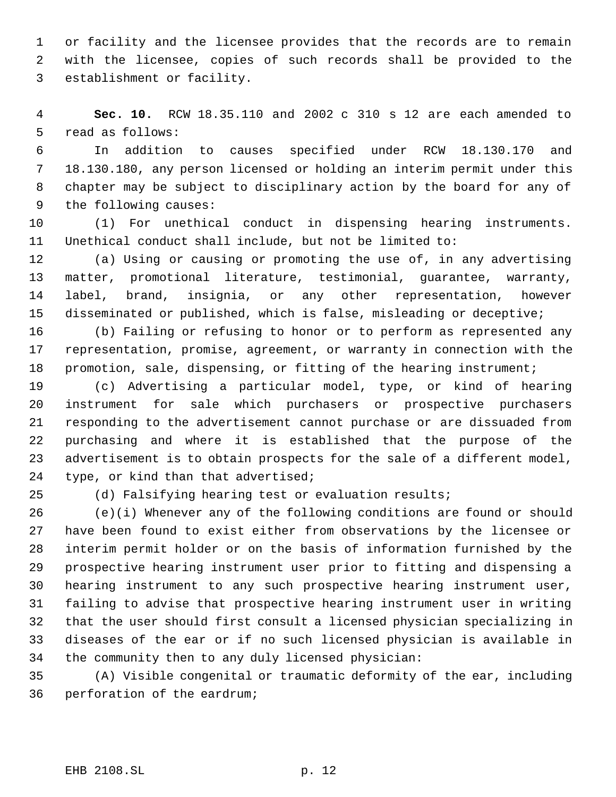or facility and the licensee provides that the records are to remain with the licensee, copies of such records shall be provided to the establishment or facility.

 **Sec. 10.** RCW 18.35.110 and 2002 c 310 s 12 are each amended to read as follows:

 In addition to causes specified under RCW 18.130.170 and 18.130.180, any person licensed or holding an interim permit under this chapter may be subject to disciplinary action by the board for any of the following causes:

 (1) For unethical conduct in dispensing hearing instruments. Unethical conduct shall include, but not be limited to:

 (a) Using or causing or promoting the use of, in any advertising matter, promotional literature, testimonial, guarantee, warranty, label, brand, insignia, or any other representation, however disseminated or published, which is false, misleading or deceptive;

 (b) Failing or refusing to honor or to perform as represented any representation, promise, agreement, or warranty in connection with the 18 promotion, sale, dispensing, or fitting of the hearing instrument;

 (c) Advertising a particular model, type, or kind of hearing instrument for sale which purchasers or prospective purchasers responding to the advertisement cannot purchase or are dissuaded from purchasing and where it is established that the purpose of the advertisement is to obtain prospects for the sale of a different model, type, or kind than that advertised;

(d) Falsifying hearing test or evaluation results;

 (e)(i) Whenever any of the following conditions are found or should have been found to exist either from observations by the licensee or interim permit holder or on the basis of information furnished by the prospective hearing instrument user prior to fitting and dispensing a hearing instrument to any such prospective hearing instrument user, failing to advise that prospective hearing instrument user in writing that the user should first consult a licensed physician specializing in diseases of the ear or if no such licensed physician is available in the community then to any duly licensed physician:

 (A) Visible congenital or traumatic deformity of the ear, including perforation of the eardrum;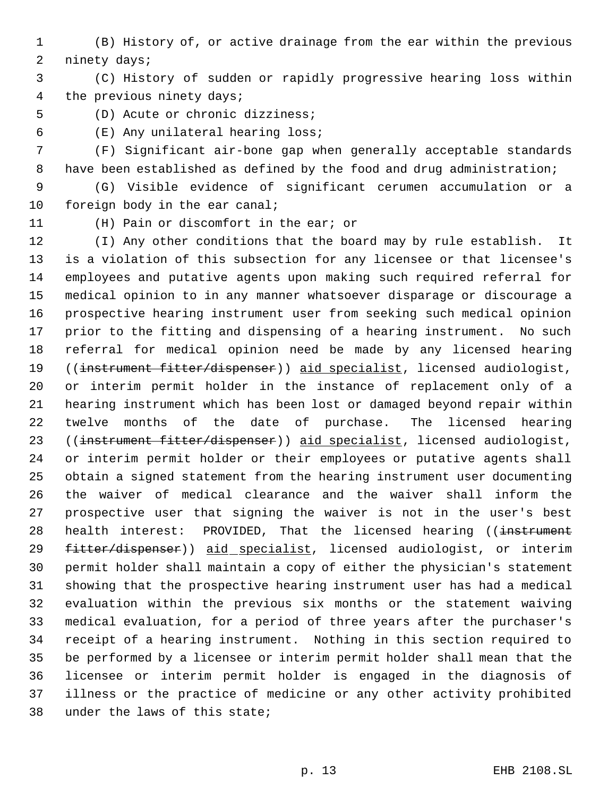(B) History of, or active drainage from the ear within the previous ninety days;

 (C) History of sudden or rapidly progressive hearing loss within the previous ninety days;

(D) Acute or chronic dizziness;

(E) Any unilateral hearing loss;

 (F) Significant air-bone gap when generally acceptable standards have been established as defined by the food and drug administration;

 (G) Visible evidence of significant cerumen accumulation or a foreign body in the ear canal;

(H) Pain or discomfort in the ear; or

 (I) Any other conditions that the board may by rule establish. It is a violation of this subsection for any licensee or that licensee's employees and putative agents upon making such required referral for medical opinion to in any manner whatsoever disparage or discourage a prospective hearing instrument user from seeking such medical opinion prior to the fitting and dispensing of a hearing instrument. No such referral for medical opinion need be made by any licensed hearing ((instrument fitter/dispenser)) aid specialist, licensed audiologist, or interim permit holder in the instance of replacement only of a hearing instrument which has been lost or damaged beyond repair within twelve months of the date of purchase. The licensed hearing ((instrument fitter/dispenser)) aid specialist, licensed audiologist, or interim permit holder or their employees or putative agents shall obtain a signed statement from the hearing instrument user documenting the waiver of medical clearance and the waiver shall inform the prospective user that signing the waiver is not in the user's best 28 health interest: PROVIDED, That the licensed hearing ((instrument 29 fitter/dispenser)) aid specialist, licensed audiologist, or interim permit holder shall maintain a copy of either the physician's statement showing that the prospective hearing instrument user has had a medical evaluation within the previous six months or the statement waiving medical evaluation, for a period of three years after the purchaser's receipt of a hearing instrument. Nothing in this section required to be performed by a licensee or interim permit holder shall mean that the licensee or interim permit holder is engaged in the diagnosis of illness or the practice of medicine or any other activity prohibited under the laws of this state;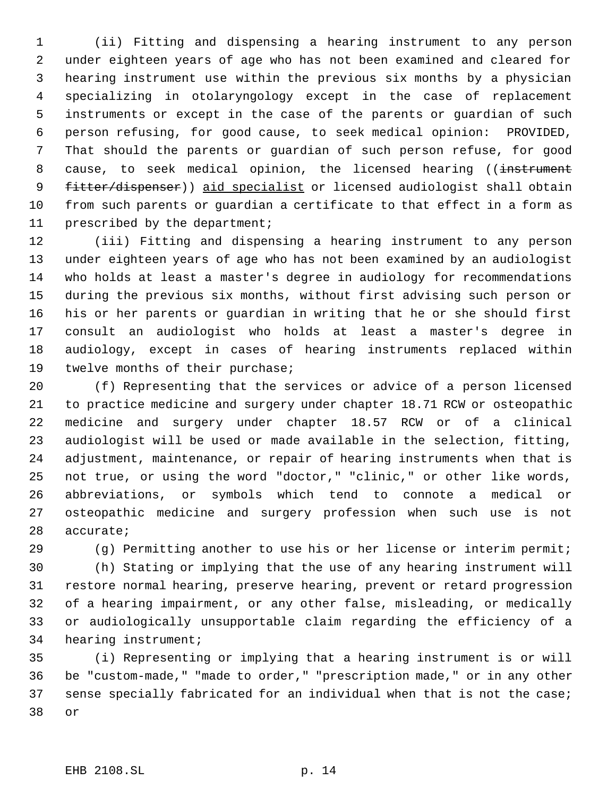(ii) Fitting and dispensing a hearing instrument to any person under eighteen years of age who has not been examined and cleared for hearing instrument use within the previous six months by a physician specializing in otolaryngology except in the case of replacement instruments or except in the case of the parents or guardian of such person refusing, for good cause, to seek medical opinion: PROVIDED, That should the parents or guardian of such person refuse, for good 8 cause, to seek medical opinion, the licensed hearing ((instrument 9 fitter/dispenser)) aid specialist or licensed audiologist shall obtain from such parents or guardian a certificate to that effect in a form as prescribed by the department;

 (iii) Fitting and dispensing a hearing instrument to any person under eighteen years of age who has not been examined by an audiologist who holds at least a master's degree in audiology for recommendations during the previous six months, without first advising such person or his or her parents or guardian in writing that he or she should first consult an audiologist who holds at least a master's degree in audiology, except in cases of hearing instruments replaced within twelve months of their purchase;

 (f) Representing that the services or advice of a person licensed to practice medicine and surgery under chapter 18.71 RCW or osteopathic medicine and surgery under chapter 18.57 RCW or of a clinical audiologist will be used or made available in the selection, fitting, adjustment, maintenance, or repair of hearing instruments when that is not true, or using the word "doctor," "clinic," or other like words, abbreviations, or symbols which tend to connote a medical or osteopathic medicine and surgery profession when such use is not accurate;

(g) Permitting another to use his or her license or interim permit;

 (h) Stating or implying that the use of any hearing instrument will restore normal hearing, preserve hearing, prevent or retard progression of a hearing impairment, or any other false, misleading, or medically or audiologically unsupportable claim regarding the efficiency of a hearing instrument;

 (i) Representing or implying that a hearing instrument is or will be "custom-made," "made to order," "prescription made," or in any other sense specially fabricated for an individual when that is not the case; or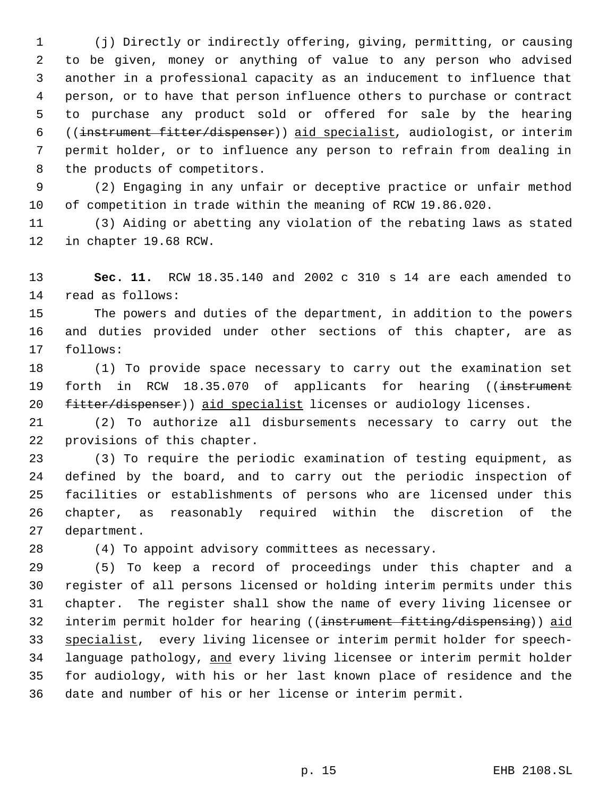(j) Directly or indirectly offering, giving, permitting, or causing to be given, money or anything of value to any person who advised another in a professional capacity as an inducement to influence that person, or to have that person influence others to purchase or contract to purchase any product sold or offered for sale by the hearing ((instrument fitter/dispenser)) aid specialist, audiologist, or interim permit holder, or to influence any person to refrain from dealing in 8 the products of competitors.

 (2) Engaging in any unfair or deceptive practice or unfair method of competition in trade within the meaning of RCW 19.86.020.

 (3) Aiding or abetting any violation of the rebating laws as stated in chapter 19.68 RCW.

 **Sec. 11.** RCW 18.35.140 and 2002 c 310 s 14 are each amended to read as follows:

 The powers and duties of the department, in addition to the powers and duties provided under other sections of this chapter, are as follows:

 (1) To provide space necessary to carry out the examination set 19 forth in RCW 18.35.070 of applicants for hearing ((instrument 20 fitter/dispenser)) aid specialist licenses or audiology licenses.

 (2) To authorize all disbursements necessary to carry out the provisions of this chapter.

 (3) To require the periodic examination of testing equipment, as defined by the board, and to carry out the periodic inspection of facilities or establishments of persons who are licensed under this chapter, as reasonably required within the discretion of the department.

(4) To appoint advisory committees as necessary.

 (5) To keep a record of proceedings under this chapter and a register of all persons licensed or holding interim permits under this chapter. The register shall show the name of every living licensee or 32 interim permit holder for hearing ((instrument fitting/dispensing)) aid specialist, every living licensee or interim permit holder for speech- language pathology, and every living licensee or interim permit holder for audiology, with his or her last known place of residence and the date and number of his or her license or interim permit.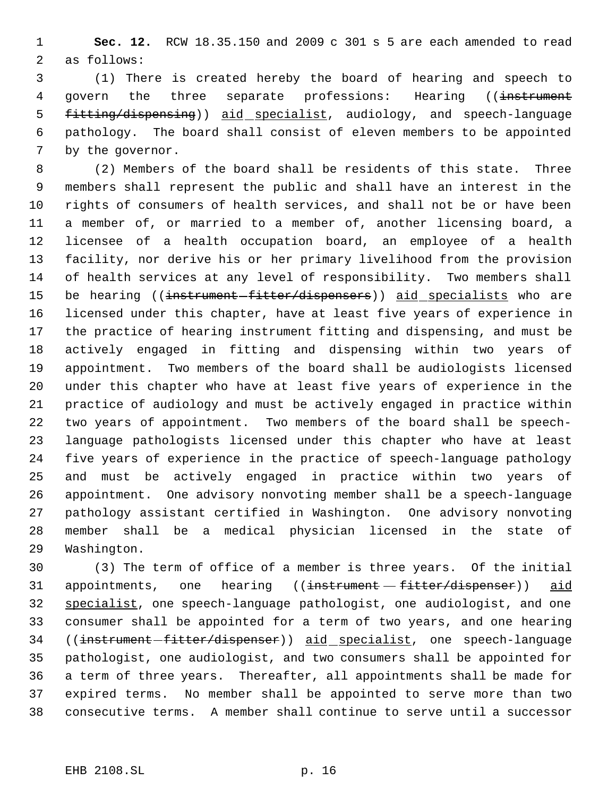**Sec. 12.** RCW 18.35.150 and 2009 c 301 s 5 are each amended to read as follows:

 (1) There is created hereby the board of hearing and speech to 4 govern the three separate professions: Hearing ((instrument 5 fitting/dispensing)) aid specialist, audiology, and speech-language pathology. The board shall consist of eleven members to be appointed by the governor.

 (2) Members of the board shall be residents of this state. Three members shall represent the public and shall have an interest in the rights of consumers of health services, and shall not be or have been a member of, or married to a member of, another licensing board, a licensee of a health occupation board, an employee of a health facility, nor derive his or her primary livelihood from the provision of health services at any level of responsibility. Two members shall 15 be hearing ((instrument-fitter/dispensers)) aid specialists who are licensed under this chapter, have at least five years of experience in the practice of hearing instrument fitting and dispensing, and must be actively engaged in fitting and dispensing within two years of appointment. Two members of the board shall be audiologists licensed under this chapter who have at least five years of experience in the practice of audiology and must be actively engaged in practice within two years of appointment. Two members of the board shall be speech- language pathologists licensed under this chapter who have at least five years of experience in the practice of speech-language pathology and must be actively engaged in practice within two years of appointment. One advisory nonvoting member shall be a speech-language pathology assistant certified in Washington. One advisory nonvoting member shall be a medical physician licensed in the state of Washington.

 (3) The term of office of a member is three years. Of the initial 31 appointments, one hearing ((instrument - fitter/dispenser)) aid specialist, one speech-language pathologist, one audiologist, and one consumer shall be appointed for a term of two years, and one hearing 34 ((instrument-fitter/dispenser)) aid specialist, one speech-language pathologist, one audiologist, and two consumers shall be appointed for a term of three years. Thereafter, all appointments shall be made for expired terms. No member shall be appointed to serve more than two consecutive terms. A member shall continue to serve until a successor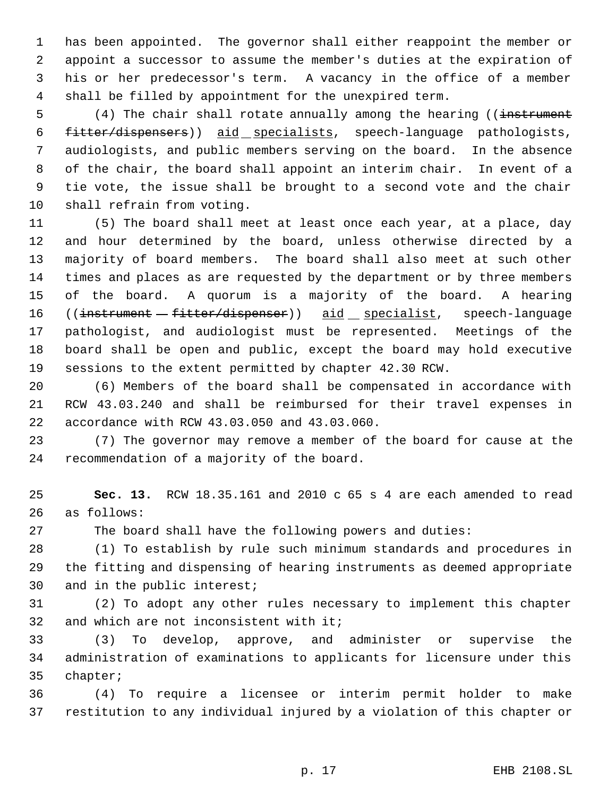has been appointed. The governor shall either reappoint the member or appoint a successor to assume the member's duties at the expiration of his or her predecessor's term. A vacancy in the office of a member shall be filled by appointment for the unexpired term.

5 (4) The chair shall rotate annually among the hearing ((instrument fitter/dispensers)) aid specialists, speech-language pathologists, audiologists, and public members serving on the board. In the absence of the chair, the board shall appoint an interim chair. In event of a tie vote, the issue shall be brought to a second vote and the chair shall refrain from voting.

 (5) The board shall meet at least once each year, at a place, day and hour determined by the board, unless otherwise directed by a majority of board members. The board shall also meet at such other times and places as are requested by the department or by three members of the board. A quorum is a majority of the board. A hearing 16 ((instrument - fitter/dispenser)) aid specialist, speech-language pathologist, and audiologist must be represented. Meetings of the board shall be open and public, except the board may hold executive sessions to the extent permitted by chapter 42.30 RCW.

 (6) Members of the board shall be compensated in accordance with RCW 43.03.240 and shall be reimbursed for their travel expenses in accordance with RCW 43.03.050 and 43.03.060.

 (7) The governor may remove a member of the board for cause at the recommendation of a majority of the board.

 **Sec. 13.** RCW 18.35.161 and 2010 c 65 s 4 are each amended to read as follows:

The board shall have the following powers and duties:

 (1) To establish by rule such minimum standards and procedures in the fitting and dispensing of hearing instruments as deemed appropriate and in the public interest;

 (2) To adopt any other rules necessary to implement this chapter 32 and which are not inconsistent with it;

 (3) To develop, approve, and administer or supervise the administration of examinations to applicants for licensure under this chapter;

 (4) To require a licensee or interim permit holder to make restitution to any individual injured by a violation of this chapter or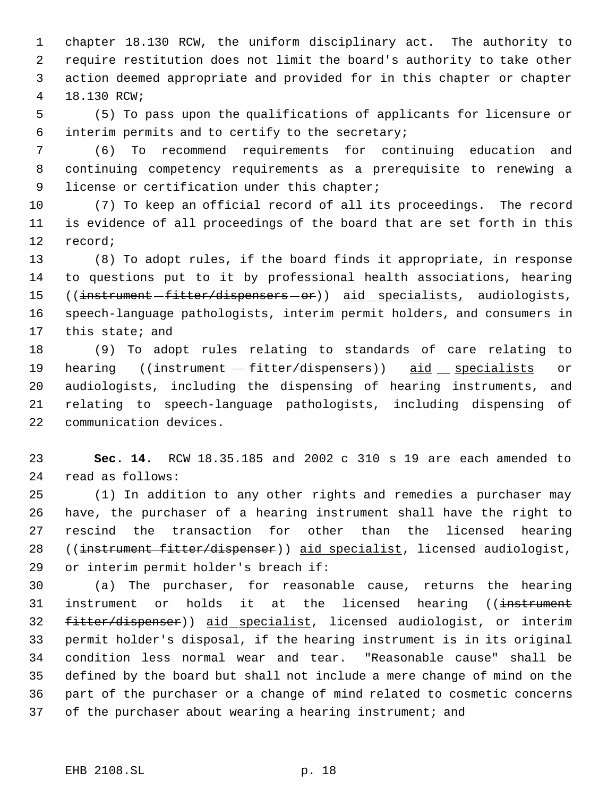chapter 18.130 RCW, the uniform disciplinary act. The authority to require restitution does not limit the board's authority to take other action deemed appropriate and provided for in this chapter or chapter 18.130 RCW;

 (5) To pass upon the qualifications of applicants for licensure or interim permits and to certify to the secretary;

 (6) To recommend requirements for continuing education and continuing competency requirements as a prerequisite to renewing a 9 license or certification under this chapter;

 (7) To keep an official record of all its proceedings. The record is evidence of all proceedings of the board that are set forth in this record;

 (8) To adopt rules, if the board finds it appropriate, in response to questions put to it by professional health associations, hearing 15 ((instrument-fitter/dispensers-or)) aid specialists, audiologists, speech-language pathologists, interim permit holders, and consumers in this state; and

 (9) To adopt rules relating to standards of care relating to 19 hearing ((instrument - fitter/dispensers)) aid specialists or audiologists, including the dispensing of hearing instruments, and relating to speech-language pathologists, including dispensing of communication devices.

 **Sec. 14.** RCW 18.35.185 and 2002 c 310 s 19 are each amended to read as follows:

 (1) In addition to any other rights and remedies a purchaser may have, the purchaser of a hearing instrument shall have the right to rescind the transaction for other than the licensed hearing 28 ((instrument fitter/dispenser)) aid specialist, licensed audiologist, or interim permit holder's breach if:

 (a) The purchaser, for reasonable cause, returns the hearing 31 instrument or holds it at the licensed hearing ((instrument 32 fitter/dispenser)) aid specialist, licensed audiologist, or interim permit holder's disposal, if the hearing instrument is in its original condition less normal wear and tear. "Reasonable cause" shall be defined by the board but shall not include a mere change of mind on the part of the purchaser or a change of mind related to cosmetic concerns of the purchaser about wearing a hearing instrument; and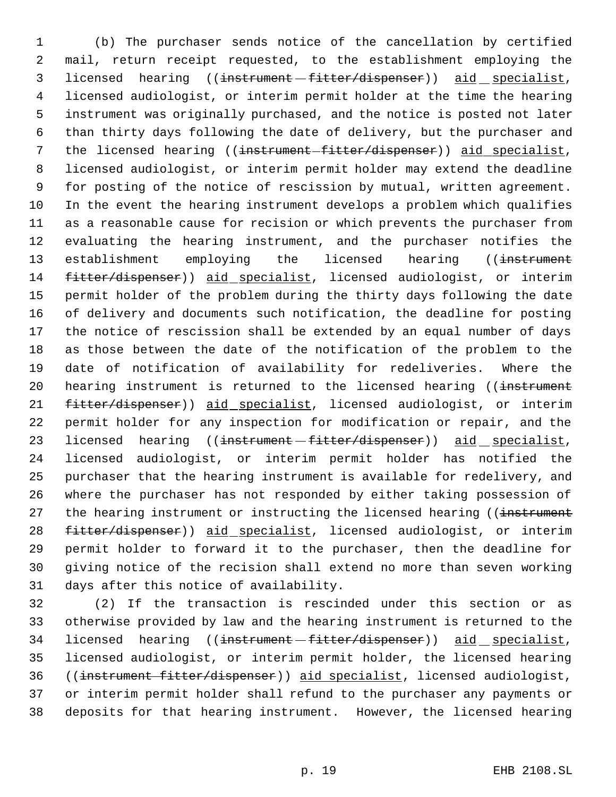(b) The purchaser sends notice of the cancellation by certified mail, return receipt requested, to the establishment employing the 3 licensed hearing ((<del>instrument fitter/dispenser</del>)) aid specialist, licensed audiologist, or interim permit holder at the time the hearing instrument was originally purchased, and the notice is posted not later than thirty days following the date of delivery, but the purchaser and 7 the licensed hearing ((instrument-fitter/dispenser)) aid specialist, licensed audiologist, or interim permit holder may extend the deadline for posting of the notice of rescission by mutual, written agreement. In the event the hearing instrument develops a problem which qualifies as a reasonable cause for recision or which prevents the purchaser from evaluating the hearing instrument, and the purchaser notifies the 13 establishment employing the licensed hearing ((instrument 14 fitter/dispenser)) aid specialist, licensed audiologist, or interim permit holder of the problem during the thirty days following the date of delivery and documents such notification, the deadline for posting the notice of rescission shall be extended by an equal number of days as those between the date of the notification of the problem to the date of notification of availability for redeliveries. Where the 20 hearing instrument is returned to the licensed hearing ((instrument 21 fitter/dispenser)) aid specialist, licensed audiologist, or interim permit holder for any inspection for modification or repair, and the 23 licensed hearing ((instrument - fitter/dispenser)) aid specialist, licensed audiologist, or interim permit holder has notified the purchaser that the hearing instrument is available for redelivery, and where the purchaser has not responded by either taking possession of 27 the hearing instrument or instructing the licensed hearing ((instrument 28 fitter/dispenser)) aid specialist, licensed audiologist, or interim permit holder to forward it to the purchaser, then the deadline for giving notice of the recision shall extend no more than seven working days after this notice of availability.

 (2) If the transaction is rescinded under this section or as otherwise provided by law and the hearing instrument is returned to the 34 licensed hearing ((<del>instrument fitter/dispenser</del>)) aid specialist, licensed audiologist, or interim permit holder, the licensed hearing ((instrument fitter/dispenser)) aid specialist, licensed audiologist, or interim permit holder shall refund to the purchaser any payments or deposits for that hearing instrument. However, the licensed hearing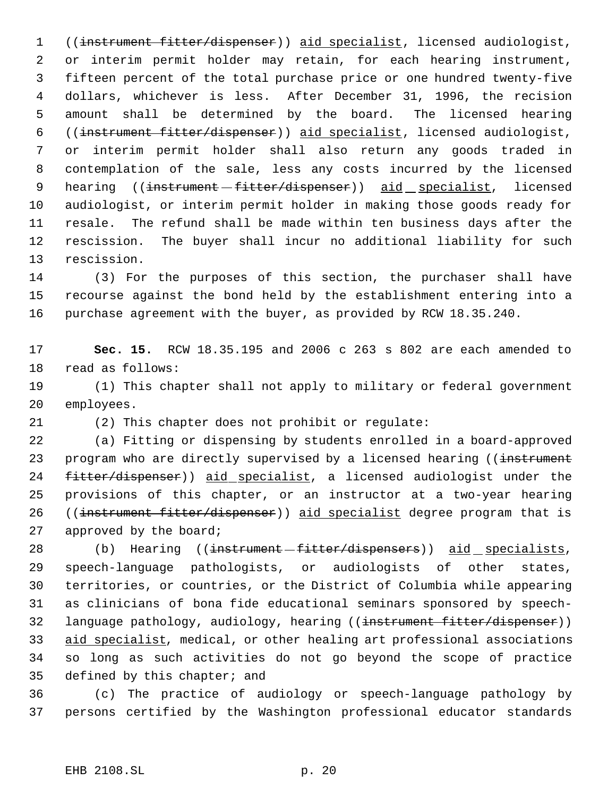((instrument fitter/dispenser)) aid specialist, licensed audiologist, or interim permit holder may retain, for each hearing instrument, fifteen percent of the total purchase price or one hundred twenty-five dollars, whichever is less. After December 31, 1996, the recision amount shall be determined by the board. The licensed hearing ((instrument fitter/dispenser)) aid specialist, licensed audiologist, or interim permit holder shall also return any goods traded in contemplation of the sale, less any costs incurred by the licensed 9 hearing ((instrument - fitter/dispenser)) aid specialist, licensed audiologist, or interim permit holder in making those goods ready for resale. The refund shall be made within ten business days after the rescission. The buyer shall incur no additional liability for such rescission.

 (3) For the purposes of this section, the purchaser shall have recourse against the bond held by the establishment entering into a purchase agreement with the buyer, as provided by RCW 18.35.240.

 **Sec. 15.** RCW 18.35.195 and 2006 c 263 s 802 are each amended to read as follows:

 (1) This chapter shall not apply to military or federal government employees.

(2) This chapter does not prohibit or regulate:

 (a) Fitting or dispensing by students enrolled in a board-approved 23 program who are directly supervised by a licensed hearing ((instrument 24 fitter/dispenser)) aid specialist, a licensed audiologist under the provisions of this chapter, or an instructor at a two-year hearing ((instrument fitter/dispenser)) aid specialist degree program that is approved by the board;

28 (b) Hearing ((<del>instrument fitter/dispensers</del>)) aid specialists, speech-language pathologists, or audiologists of other states, territories, or countries, or the District of Columbia while appearing as clinicians of bona fide educational seminars sponsored by speech-32 language pathology, audiology, hearing ((instrument fitter/dispenser)) 33 aid specialist, medical, or other healing art professional associations so long as such activities do not go beyond the scope of practice defined by this chapter; and

 (c) The practice of audiology or speech-language pathology by persons certified by the Washington professional educator standards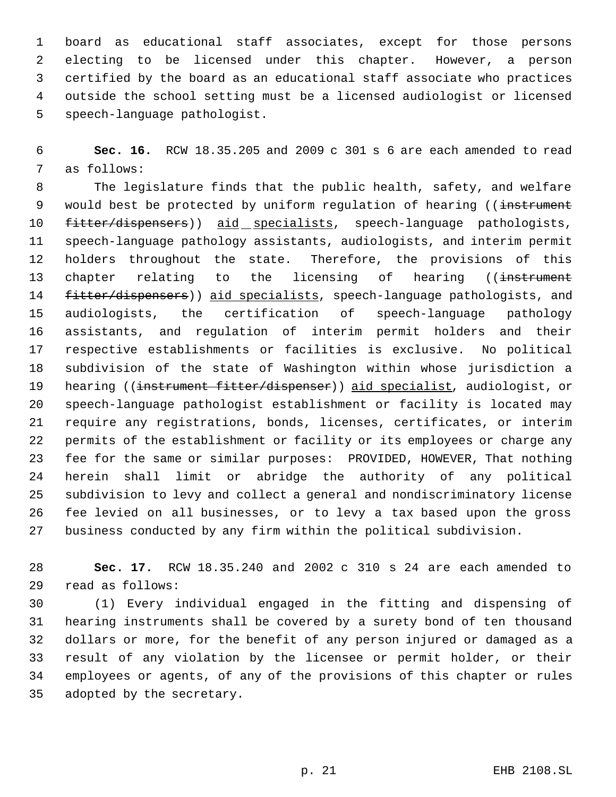board as educational staff associates, except for those persons electing to be licensed under this chapter. However, a person certified by the board as an educational staff associate who practices outside the school setting must be a licensed audiologist or licensed speech-language pathologist.

 **Sec. 16.** RCW 18.35.205 and 2009 c 301 s 6 are each amended to read as follows:

 The legislature finds that the public health, safety, and welfare 9 would best be protected by uniform requlation of hearing ((instrument 10 fitter/dispensers)) aid specialists, speech-language pathologists, speech-language pathology assistants, audiologists, and interim permit holders throughout the state. Therefore, the provisions of this 13 chapter relating to the licensing of hearing ((instrument 14 fitter/dispensers)) aid specialists, speech-language pathologists, and audiologists, the certification of speech-language pathology assistants, and regulation of interim permit holders and their respective establishments or facilities is exclusive. No political subdivision of the state of Washington within whose jurisdiction a 19 hearing ((instrument fitter/dispenser)) aid specialist, audiologist, or speech-language pathologist establishment or facility is located may require any registrations, bonds, licenses, certificates, or interim permits of the establishment or facility or its employees or charge any fee for the same or similar purposes: PROVIDED, HOWEVER, That nothing herein shall limit or abridge the authority of any political subdivision to levy and collect a general and nondiscriminatory license fee levied on all businesses, or to levy a tax based upon the gross business conducted by any firm within the political subdivision.

 **Sec. 17.** RCW 18.35.240 and 2002 c 310 s 24 are each amended to read as follows:

 (1) Every individual engaged in the fitting and dispensing of hearing instruments shall be covered by a surety bond of ten thousand dollars or more, for the benefit of any person injured or damaged as a result of any violation by the licensee or permit holder, or their employees or agents, of any of the provisions of this chapter or rules adopted by the secretary.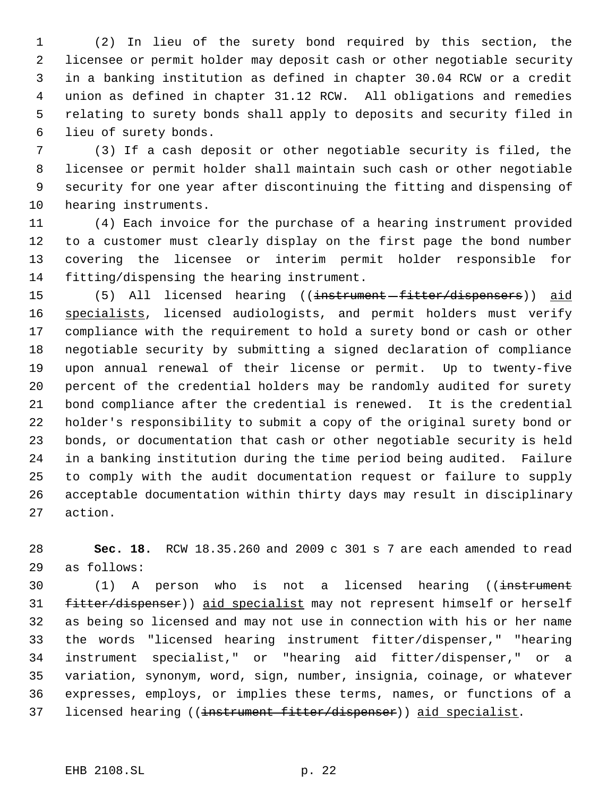(2) In lieu of the surety bond required by this section, the licensee or permit holder may deposit cash or other negotiable security in a banking institution as defined in chapter 30.04 RCW or a credit union as defined in chapter 31.12 RCW. All obligations and remedies relating to surety bonds shall apply to deposits and security filed in lieu of surety bonds.

 (3) If a cash deposit or other negotiable security is filed, the licensee or permit holder shall maintain such cash or other negotiable security for one year after discontinuing the fitting and dispensing of hearing instruments.

 (4) Each invoice for the purchase of a hearing instrument provided to a customer must clearly display on the first page the bond number covering the licensee or interim permit holder responsible for fitting/dispensing the hearing instrument.

15 (5) All licensed hearing ((instrument-fitter/dispensers)) aid 16 specialists, licensed audiologists, and permit holders must verify compliance with the requirement to hold a surety bond or cash or other negotiable security by submitting a signed declaration of compliance upon annual renewal of their license or permit. Up to twenty-five percent of the credential holders may be randomly audited for surety bond compliance after the credential is renewed. It is the credential holder's responsibility to submit a copy of the original surety bond or bonds, or documentation that cash or other negotiable security is held in a banking institution during the time period being audited. Failure to comply with the audit documentation request or failure to supply acceptable documentation within thirty days may result in disciplinary action.

 **Sec. 18.** RCW 18.35.260 and 2009 c 301 s 7 are each amended to read as follows:

30 (1) A person who is not a licensed hearing ((instrument 31 fitter/dispenser)) aid specialist may not represent himself or herself as being so licensed and may not use in connection with his or her name the words "licensed hearing instrument fitter/dispenser," "hearing instrument specialist," or "hearing aid fitter/dispenser," or a variation, synonym, word, sign, number, insignia, coinage, or whatever expresses, employs, or implies these terms, names, or functions of a 37 licensed hearing ((instrument fitter/dispenser)) aid specialist.